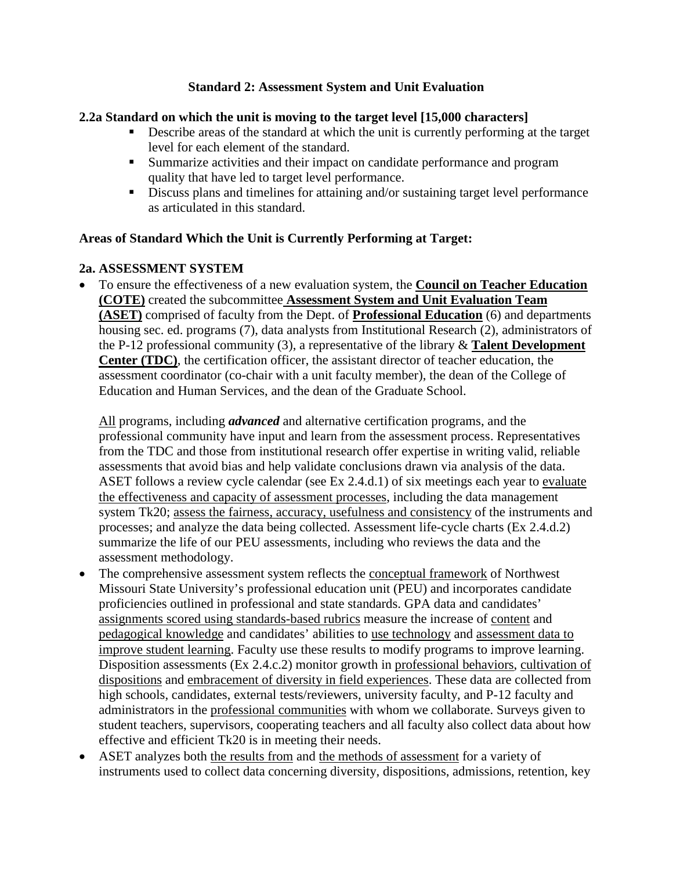### **Standard 2: Assessment System and Unit Evaluation**

#### **2.2a Standard on which the unit is moving to the target level [15,000 characters]**

- Describe areas of the standard at which the unit is currently performing at the target level for each element of the standard.
- Summarize activities and their impact on candidate performance and program quality that have led to target level performance.
- Discuss plans and timelines for attaining and/or sustaining target level performance as articulated in this standard.

### **Areas of Standard Which the Unit is Currently Performing at Target:**

### **2a. ASSESSMENT SYSTEM**

• To ensure the effectiveness of a new evaluation system, the **Council on Teacher Education (COTE)** created the subcommittee **Assessment System and Unit Evaluation Team (ASET)** comprised of faculty from the Dept. of **Professional Education** (6) and departments housing sec. ed. programs (7), data analysts from Institutional Research (2), administrators of the P-12 professional community (3), a representative of the library & **Talent Development Center (TDC)**, the certification officer, the assistant director of teacher education, the assessment coordinator (co-chair with a unit faculty member), the dean of the College of Education and Human Services, and the dean of the Graduate School.

All programs, including *advanced* and alternative certification programs, and the professional community have input and learn from the assessment process. Representatives from the TDC and those from institutional research offer expertise in writing valid, reliable assessments that avoid bias and help validate conclusions drawn via analysis of the data. ASET follows a review cycle calendar (see Ex 2.4.d.1) of six meetings each year to evaluate the effectiveness and capacity of assessment processes, including the data management system Tk20; assess the fairness, accuracy, usefulness and consistency of the instruments and processes; and analyze the data being collected. Assessment life-cycle charts (Ex 2.4.d.2) summarize the life of our PEU assessments, including who reviews the data and the assessment methodology.

- The comprehensive assessment system reflects the conceptual framework of Northwest Missouri State University's professional education unit (PEU) and incorporates candidate proficiencies outlined in professional and state standards. GPA data and candidates' assignments scored using standards-based rubrics measure the increase of content and pedagogical knowledge and candidates' abilities to use technology and assessment data to improve student learning. Faculty use these results to modify programs to improve learning. Disposition assessments (Ex 2.4.c.2) monitor growth in professional behaviors, cultivation of dispositions and embracement of diversity in field experiences. These data are collected from high schools, candidates, external tests/reviewers, university faculty, and P-12 faculty and administrators in the professional communities with whom we collaborate. Surveys given to student teachers, supervisors, cooperating teachers and all faculty also collect data about how effective and efficient Tk20 is in meeting their needs.
- ASET analyzes both the results from and the methods of assessment for a variety of instruments used to collect data concerning diversity, dispositions, admissions, retention, key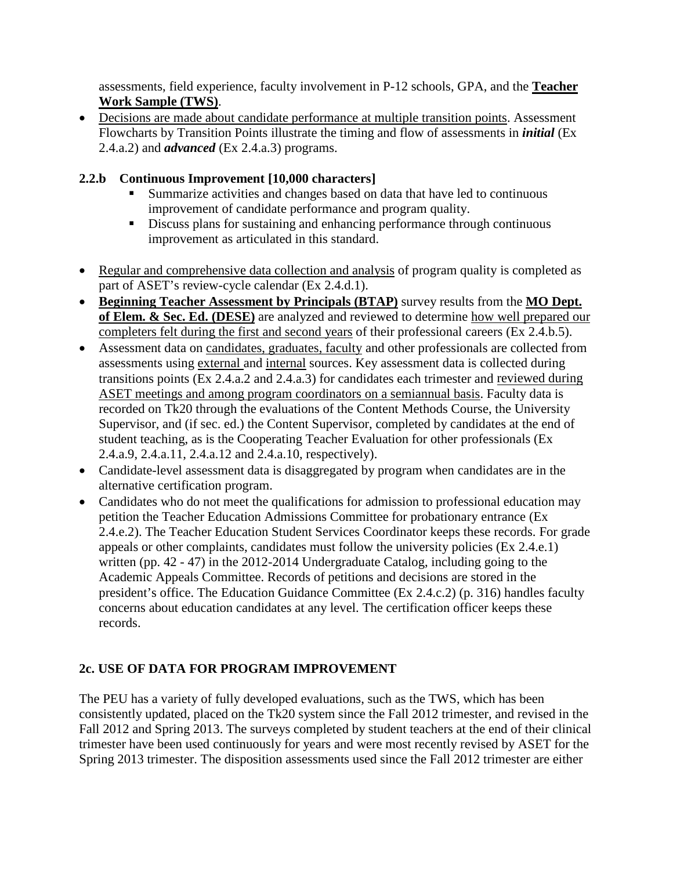assessments, field experience, faculty involvement in P-12 schools, GPA, and the **Teacher Work Sample (TWS)**.

• Decisions are made about candidate performance at multiple transition points. Assessment Flowcharts by Transition Points illustrate the timing and flow of assessments in *initial* (Ex 2.4.a.2) and *advanced* (Ex 2.4.a.3) programs.

# **2.2.b Continuous Improvement [10,000 characters]**

- Summarize activities and changes based on data that have led to continuous improvement of candidate performance and program quality.
- Discuss plans for sustaining and enhancing performance through continuous improvement as articulated in this standard.
- Regular and comprehensive data collection and analysis of program quality is completed as part of ASET's review-cycle calendar (Ex 2.4.d.1).
- **Beginning Teacher Assessment by Principals (BTAP)** survey results from the **MO Dept. of Elem. & Sec. Ed. (DESE)** are analyzed and reviewed to determine how well prepared our completers felt during the first and second years of their professional careers (Ex 2.4.b.5).
- Assessment data on candidates, graduates, faculty and other professionals are collected from assessments using external and internal sources. Key assessment data is collected during transitions points (Ex 2.4.a.2 and 2.4.a.3) for candidates each trimester and reviewed during ASET meetings and among program coordinators on a semiannual basis. Faculty data is recorded on Tk20 through the evaluations of the Content Methods Course, the University Supervisor, and (if sec. ed.) the Content Supervisor, completed by candidates at the end of student teaching, as is the Cooperating Teacher Evaluation for other professionals (Ex 2.4.a.9, 2.4.a.11, 2.4.a.12 and 2.4.a.10, respectively).
- Candidate-level assessment data is disaggregated by program when candidates are in the alternative certification program.
- Candidates who do not meet the qualifications for admission to professional education may petition the Teacher Education Admissions Committee for probationary entrance (Ex 2.4.e.2). The Teacher Education Student Services Coordinator keeps these records. For grade appeals or other complaints, candidates must follow the university policies (Ex 2.4.e.1) written (pp. 42 - 47) in the 2012-2014 Undergraduate Catalog, including going to the Academic Appeals Committee. Records of petitions and decisions are stored in the president's office. The Education Guidance Committee (Ex 2.4.c.2) (p. 316) handles faculty concerns about education candidates at any level. The certification officer keeps these records.

# **2c. USE OF DATA FOR PROGRAM IMPROVEMENT**

The PEU has a variety of fully developed evaluations, such as the TWS, which has been consistently updated, placed on the Tk20 system since the Fall 2012 trimester, and revised in the Fall 2012 and Spring 2013. The surveys completed by student teachers at the end of their clinical trimester have been used continuously for years and were most recently revised by ASET for the Spring 2013 trimester. The disposition assessments used since the Fall 2012 trimester are either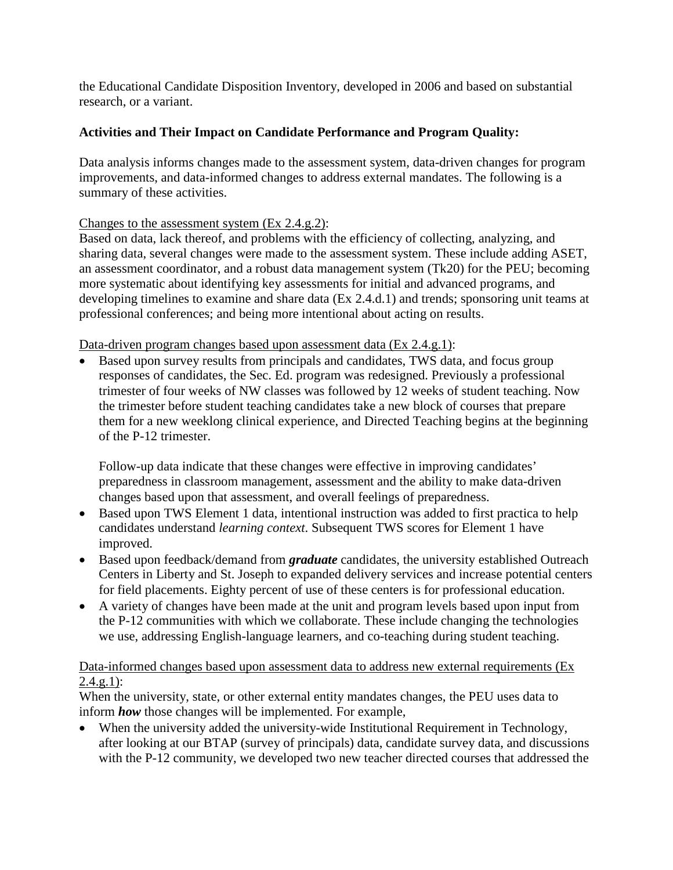the Educational Candidate Disposition Inventory, developed in 2006 and based on substantial research, or a variant.

# **Activities and Their Impact on Candidate Performance and Program Quality:**

Data analysis informs changes made to the assessment system, data-driven changes for program improvements, and data-informed changes to address external mandates. The following is a summary of these activities.

## Changes to the assessment system (Ex 2.4.g.2):

Based on data, lack thereof, and problems with the efficiency of collecting, analyzing, and sharing data, several changes were made to the assessment system. These include adding ASET, an assessment coordinator, and a robust data management system (Tk20) for the PEU; becoming more systematic about identifying key assessments for initial and advanced programs, and developing timelines to examine and share data (Ex 2.4.d.1) and trends; sponsoring unit teams at professional conferences; and being more intentional about acting on results.

## Data-driven program changes based upon assessment data (Ex 2.4.g.1):

• Based upon survey results from principals and candidates, TWS data, and focus group responses of candidates, the Sec. Ed. program was redesigned. Previously a professional trimester of four weeks of NW classes was followed by 12 weeks of student teaching. Now the trimester before student teaching candidates take a new block of courses that prepare them for a new weeklong clinical experience, and Directed Teaching begins at the beginning of the P-12 trimester.

Follow-up data indicate that these changes were effective in improving candidates' preparedness in classroom management, assessment and the ability to make data-driven changes based upon that assessment, and overall feelings of preparedness.

- Based upon TWS Element 1 data, intentional instruction was added to first practica to help candidates understand *learning context*. Subsequent TWS scores for Element 1 have improved.
- Based upon feedback/demand from *graduate* candidates, the university established Outreach Centers in Liberty and St. Joseph to expanded delivery services and increase potential centers for field placements. Eighty percent of use of these centers is for professional education.
- A variety of changes have been made at the unit and program levels based upon input from the P-12 communities with which we collaborate. These include changing the technologies we use, addressing English-language learners, and co-teaching during student teaching.

### Data-informed changes based upon assessment data to address new external requirements (Ex  $2.4(g.1)$ :

When the university, state, or other external entity mandates changes, the PEU uses data to inform *how* those changes will be implemented. For example,

• When the university added the university-wide Institutional Requirement in Technology, after looking at our BTAP (survey of principals) data, candidate survey data, and discussions with the P-12 community, we developed two new teacher directed courses that addressed the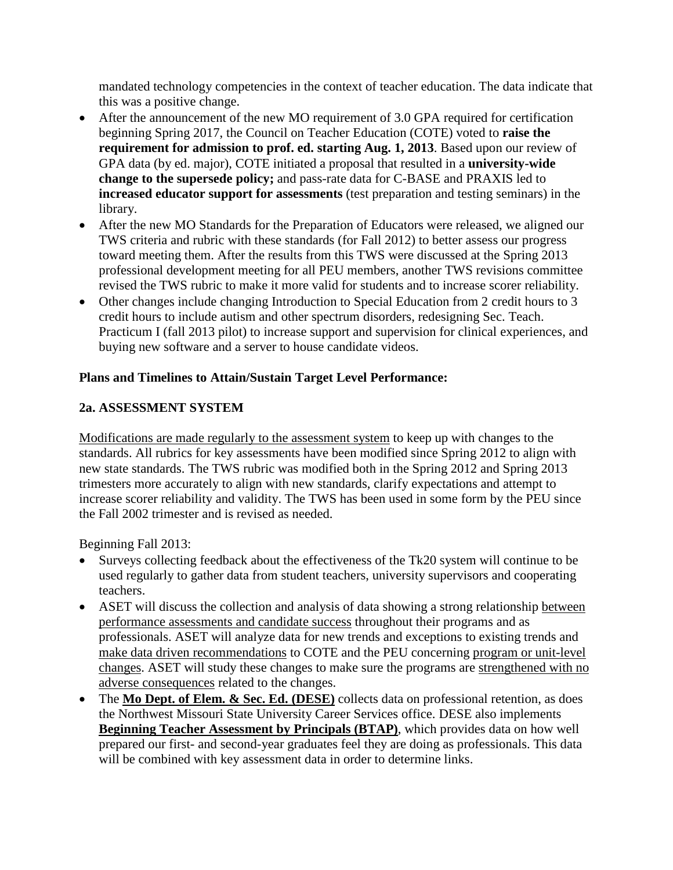mandated technology competencies in the context of teacher education. The data indicate that this was a positive change.

- After the announcement of the new MO requirement of 3.0 GPA required for certification beginning Spring 2017, the Council on Teacher Education (COTE) voted to **raise the requirement for admission to prof. ed. starting Aug. 1, 2013**. Based upon our review of GPA data (by ed. major), COTE initiated a proposal that resulted in a **university-wide change to the supersede policy;** and pass-rate data for C-BASE and PRAXIS led to **increased educator support for assessments** (test preparation and testing seminars) in the library.
- After the new MO Standards for the Preparation of Educators were released, we aligned our TWS criteria and rubric with these standards (for Fall 2012) to better assess our progress toward meeting them. After the results from this TWS were discussed at the Spring 2013 professional development meeting for all PEU members, another TWS revisions committee revised the TWS rubric to make it more valid for students and to increase scorer reliability.
- Other changes include changing Introduction to Special Education from 2 credit hours to 3 credit hours to include autism and other spectrum disorders, redesigning Sec. Teach. Practicum I (fall 2013 pilot) to increase support and supervision for clinical experiences, and buying new software and a server to house candidate videos.

## **Plans and Timelines to Attain/Sustain Target Level Performance:**

## **2a. ASSESSMENT SYSTEM**

Modifications are made regularly to the assessment system to keep up with changes to the standards. All rubrics for key assessments have been modified since Spring 2012 to align with new state standards. The TWS rubric was modified both in the Spring 2012 and Spring 2013 trimesters more accurately to align with new standards, clarify expectations and attempt to increase scorer reliability and validity. The TWS has been used in some form by the PEU since the Fall 2002 trimester and is revised as needed.

Beginning Fall 2013:

- Surveys collecting feedback about the effectiveness of the Tk20 system will continue to be used regularly to gather data from student teachers, university supervisors and cooperating teachers.
- ASET will discuss the collection and analysis of data showing a strong relationship between performance assessments and candidate success throughout their programs and as professionals. ASET will analyze data for new trends and exceptions to existing trends and make data driven recommendations to COTE and the PEU concerning program or unit-level changes. ASET will study these changes to make sure the programs are strengthened with no adverse consequences related to the changes.
- The Mo Dept. of Elem. & Sec. Ed. (DESE) collects data on professional retention, as does the Northwest Missouri State University Career Services office. DESE also implements **Beginning Teacher Assessment by Principals (BTAP)**, which provides data on how well prepared our first- and second-year graduates feel they are doing as professionals. This data will be combined with key assessment data in order to determine links.